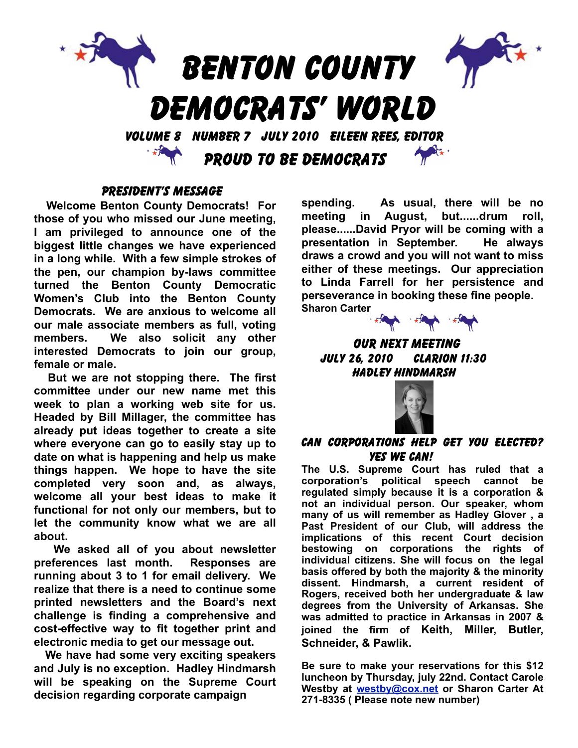

## PRESIDENT'S MESSAGE

**Welcome Benton County Democrats! For those of you who missed our June meeting, I am privileged to announce one of the biggest little changes we have experienced in a long while. With a few simple strokes of the pen, our champion by-laws committee turned the Benton County Democratic Women's Club into the Benton County Democrats. We are anxious to welcome all our male associate members as full, voting members. We also solicit any other interested Democrats to join our group, female or male.**

**But we are not stopping there. The first committee under our new name met this week to plan a working web site for us. Headed by Bill Millager, the committee has already put ideas together to create a site where everyone can go to easily stay up to date on what is happening and help us make things happen. We hope to have the site completed very soon and, as always, welcome all your best ideas to make it functional for not only our members, but to let the community know what we are all about.** 

**We asked all of you about newsletter preferences last month. Responses are running about 3 to 1 for email delivery. We realize that there is a need to continue some printed newsletters and the Board's next challenge is finding a comprehensive and cost-effective way to fit together print and electronic media to get our message out.** 

**We have had some very exciting speakers and July is no exception. Hadley Hindmarsh will be speaking on the Supreme Court decision regarding corporate campaign** 

**spending. As usual, there will be no meeting in August, but......drum roll, please......David Pryor will be coming with a presentation in September. He always draws a crowd and you will not want to miss either of these meetings. Our appreciation to Linda Farrell for her persistence and perseverance in booking these fine people. Sharon Carter**



OUR NEXT MEETING july 26, 2010 Clarion 11:30 HADLEY HINDMARSH



#### Can Corporations Help Get You Elected? Yes We Can!

**The U.S. Supreme Court has ruled that a corporation's political speech cannot be regulated simply because it is a corporation & not an individual person. Our speaker, whom many of us will remember as Hadley Glover , a Past President of our Club, will address the implications of this recent Court decision bestowing on corporations the rights of individual citizens. She will focus on the legal basis offered by both the majority & the minority dissent. Hindmarsh, a current resident of Rogers, received both her undergraduate & law degrees from the University of Arkansas. She was admitted to practice in Arkansas in 2007 & joined the firm of Keith, Miller, Butler, Schneider, & Pawlik.**

**Be sure to make your reservations for this \$12 luncheon by Thursday, july 22nd. Contact Carole Westby at [westby@cox.net](mailto:westby@cox.net) or Sharon Carter At 271-8335 ( Please note new number)**